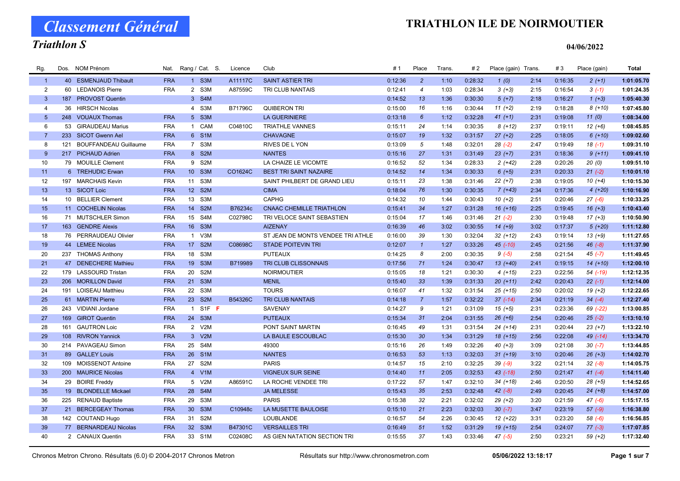Classement Général

# Triathlon S

| Rg.             | Dos. | NOM Prénom                   | Nat.       | Rang / Cat. S.  |                               | Licence | Club                              | #1      | Place           | <b>Trans</b> | # 2     | Place (gain) Trans. |      | #3      | Place (gain) | <b>Total</b> |
|-----------------|------|------------------------------|------------|-----------------|-------------------------------|---------|-----------------------------------|---------|-----------------|--------------|---------|---------------------|------|---------|--------------|--------------|
| $\overline{1}$  |      | 40 ESMENJAUD Thibault        | <b>FRA</b> |                 | 1 S3M                         | A11117C | <b>SAINT ASTIER TRI</b>           | 0:12:36 | $\overline{2}$  | 1:10         | 0:28:32 | 1(0)                | 2:14 | 0:16:35 | $2(+1)$      | 1:01:05.70   |
| $\overline{2}$  | 60   | <b>LEDANOIS Pierre</b>       | <b>FRA</b> | 2 S3M           |                               | A87559C | TRI CLUB NANTAIS                  | 0:12:41 | $\overline{4}$  | 1:03         | 0:28:34 | $3(+3)$             | 2:15 | 0:16:54 | $3(-1)$      | 1:01:24.35   |
| $\mathbf{3}$    | 187  | <b>PROVOST Quentin</b>       |            | 3 S4M           |                               |         |                                   | 0:14:52 | 13              | 1:36         | 0:30:30 | $5(+7)$             | 2:18 | 0:16:27 | $1 (+3)$     | 1:05:40.30   |
| $\overline{4}$  |      | 36 HIRSCH Nicolas            |            | 4 S3M           |                               | B71796C | <b>QUIBERON TRI</b>               | 0:15:00 | 16              | 1:16         | 0:30:44 | $11 (+2)$           | 2:19 | 0:18:28 | $8(+10)$     | 1:07:45.80   |
| $5\overline{5}$ |      | 248 VOUAUX Thomas            | <b>FRA</b> | 5 S3M           |                               |         | <b>LA GUERINIERE</b>              | 0:13:18 | $6\overline{6}$ | 1:12         | 0:32:28 | $41 (+1)$           | 2:31 | 0:19:08 | 11(0)        | 1:08:34.00   |
| 6               |      | 53 GIRAUDEAU Marius          | <b>FRA</b> | $\mathbf{1}$    | CAM                           | C04810C | <b>TRIATHLE VANNES</b>            | 0:15:11 | 24              | 1:14         | 0:30:35 | $8(+12)$            | 2:37 | 0:19:11 | $12 (+6)$    | 1:08:45.85   |
| $\overline{7}$  | 233  | <b>SICOT Gwenn Ael</b>       | <b>FRA</b> | 6 S1M           |                               |         | <b>CHAVAGNE</b>                   | 0:15:07 | 19              | 1:32         | 0:31:57 | $27 (+2)$           | 2:25 | 0:18:05 | $6(+10)$     | 1:09:02.60   |
| 8               | 121  | <b>BOUFFANDEAU Guillaume</b> | <b>FRA</b> | 7 S3M           |                               |         | RIVES DE L YON                    | 0:13:09 | 5               | 1:48         | 0:32:01 | $28(-2)$            | 2:47 | 0:19:49 | $18(-1)$     | 1:09:31.10   |
| 9               |      | 217 PICHAUD Adrien           | <b>FRA</b> | 8 S2M           |                               |         | <b>NANTES</b>                     | 0:15:16 | 27              | 1:31         | 0:31:49 | $23 (+7)$           | 2:31 | 0:18:36 | $9(+11)$     | 1:09:41.10   |
| 10              |      | 79 MOUILLE Clement           | <b>FRA</b> | 9 S2M           |                               |         | LA CHAIZE LE VICOMTE              | 0:16:52 | 52              | 1:34         | 0:28:33 | $2(+42)$            | 2:28 | 0:20:26 | 20(0)        | 1:09:51.10   |
| 11              |      | 6 TREHUDIC Erwan             | <b>FRA</b> | 10 <sup>1</sup> | S <sub>3</sub> M              | CO1624C | <b>BEST TRI SAINT NAZAIRE</b>     | 0:14:52 | 14              | 1:34         | 0:30:33 | $6 (+5)$            | 2:31 | 0:20:33 | $21 (-2)$    | 1:10:01.10   |
| 12              |      | 197 MARCHAIS Kevin           | <b>FRA</b> | 11              | S3M                           |         | SAINT PHILBERT DE GRAND LIEU      | 0:15:11 | 23              | 1:38         | 0:31:46 | $22 (+7)$           | 2:38 | 0:19:05 | $10(+4)$     | 1:10:15.30   |
| 13              |      | 13 SICOT Loic                | <b>FRA</b> | 12 <sup>2</sup> | S <sub>2M</sub>               |         | <b>CIMA</b>                       | 0:18:04 | 76              | 1:30         | 0:30:35 | $7(+43)$            | 2:34 | 0:17:36 | $4(+20)$     | 1:10:16.90   |
| 14              |      | 10 BELLIER Clement           | <b>FRA</b> | 13              | S3M                           |         | CAPHG                             | 0:14:32 | 10              | 1:44         | 0:30:43 | $10(+2)$            | 2:51 | 0:20:46 | $27(-6)$     | 1:10:33.25   |
| 15              |      | 11 COCHELIN Nicolas          | <b>FRA</b> | 14              | S <sub>2M</sub>               | B76234c | <b>CNAAC CHEMILLE TRIATHLON</b>   | 0:15:41 | 34              | 1:27         | 0:31:28 | $16 (+16)$          | 2:25 | 0:19:45 | $16 (+3)$    | 1:10:43.40   |
| 16              |      | 71 MUTSCHLER Simon           | <b>FRA</b> | 15 <sub>1</sub> | S4M                           | C02798C | TRI VELOCE SAINT SEBASTIEN        | 0:15:04 | 17              | 1:46         | 0:31:46 | $21 (-2)$           | 2:30 | 0:19:48 | $17 (+3)$    | 1:10:50.90   |
| 17              |      | 163 GENDRE Alexis            | <b>FRA</b> | 16              | S <sub>3</sub> M              |         | <b>AIZENAY</b>                    | 0:16:39 | 46              | 3:02         | 0:30:55 | $14 (+9)$           | 3:02 | 0:17:37 | $5(+20)$     | 1:11:12.80   |
| 18              |      | 76 PERRAUDEAU Olivier        | <b>FRA</b> | $\mathbf{1}$    | V3M                           |         | ST JEAN DE MONTS VENDEE TRI ATHLE | 0:16:00 | 39              | 1:30         | 0:32:04 | $32 (+12)$          | 2:43 | 0:19:14 | $13(+9)$     | 1:11:27.65   |
| 19              |      | 44 LEMEE Nicolas             | <b>FRA</b> | 17 S2M          |                               | C08698C | <b>STADE POITEVIN TRI</b>         | 0:12:07 | $\overline{1}$  | 1:27         | 0:33:26 | $45$ (-10)          | 2:45 | 0:21:56 | $46(-8)$     | 1:11:37.90   |
| 20              |      | 237 THOMAS Anthony           | <b>FRA</b> | 18              | S3M                           |         | <b>PUTEAUX</b>                    | 0:14:25 | 8               | 2:00         | 0:30:35 | $9(-5)$             | 2:58 | 0:21:54 | $45(-7)$     | 1:11:49.45   |
| 21              |      | 47 DENECHERE Mathieu         | <b>FRA</b> | 19              | S <sub>3</sub> M              | B719989 | TRI CLUB CLISSONNAIS              | 0:17:56 | 71              | 1:24         | 0:30:47 | $13(+40)$           | 2:41 | 0:19:15 | $14(+10)$    | 1:12:00.10   |
| 22              |      | 179 LASSOURD Tristan         | <b>FRA</b> | 20              | S <sub>2</sub> M              |         | <b>NOIRMOUTIER</b>                | 0:15:05 | 18              | 1:21         | 0:30:30 | $4(+15)$            | 2:23 | 0:22:56 | 54 (-19)     | 1:12:12.35   |
| 23              |      | 206 MORILLON David           | <b>FRA</b> | 21              | S3M                           |         | <b>MENIL</b>                      | 0:15:40 | 33              | 1:39         | 0:31:33 | $20(+11)$           | 2:42 | 0:20:43 | $22(-1)$     | 1:12:14.00   |
| 24              |      | 191 LOISEAU Matthieu         | <b>FRA</b> | 22              | S3M                           |         | <b>TOURS</b>                      | 0:16:07 | 41              | 1:32         | 0:31:54 | $25 (+15)$          | 2:50 | 0:20:02 | $19 (+2)$    | 1:12:22.65   |
| 25              |      | 61 MARTIN Pierre             | <b>FRA</b> | 23              | S <sub>2M</sub>               | B54326C | <b>TRI CLUB NANTAIS</b>           | 0:14:18 | $\overline{7}$  | 1:57         | 0:32:22 | $37$ $(-14)$        | 2:34 | 0:21:19 | $34 (-4)$    | 1:12:27.40   |
| 26              |      | 243 VIDIANI Jordane          | <b>FRA</b> | $\mathbf{1}$    | S <sub>1</sub> F <sub>F</sub> |         | <b>SAVENAY</b>                    | 0:14:27 | 9               | 1:21         | 0:31:09 | $15(+5)$            | 2:31 | 0:23:36 | 69 (-22)     | 1:13:00.85   |
| 27              |      | 169 GIROT Quentin            | <b>FRA</b> | 24              | S <sub>3</sub> M              |         | <b>PUTEAUX</b>                    | 0:15:34 | 31              | 2:04         | 0:31:55 | $26 (+6)$           | 2:54 | 0:20:46 | $25(-2)$     | 1:13:10.10   |
| 28              | 161  | <b>GAUTRON Loic</b>          | <b>FRA</b> | 2 V2M           |                               |         | PONT SAINT MARTIN                 | 0:16:45 | 49              | 1:31         | 0:31:54 | $24(+14)$           | 2:31 | 0:20:44 | $23 (+7)$    | 1:13:22.10   |
| 29              |      | 108 RIVRON Yannick           | <b>FRA</b> | 3 V2M           |                               |         | LA BAULE ESCOUBLAC                | 0:15:30 | 30              | 1:34         | 0:31:29 | 18 (+15)            | 2:56 | 0:22:08 | 49 (-14)     | 1:13:34.70   |
| 30              |      | 214 PAVAGEAU Simon           | <b>FRA</b> | 25              | S4M                           |         | 49300                             | 0:15:16 | 26              | 1:49         | 0:32:26 | $40 (+3)$           | 3:09 | 0:21:08 | $30(-7)$     | 1:13:44.85   |
| 31              |      | 89 GALLEY Louis              | <b>FRA</b> | 26 <sup>°</sup> | S <sub>1</sub> M              |         | <b>NANTES</b>                     | 0:16:53 | 53              | 1:13         | 0:32:03 | $31 (+19)$          | 3:10 | 0:20:46 | $26 (+3)$    | 1:14:02.70   |
| 32              |      | 109 MOISSENOT Antoine        | <b>FRA</b> | 27              | S <sub>2</sub> M              |         | <b>PARIS</b>                      | 0:14:57 | 15              | 2:10         | 0:32:25 | $39(-9)$            | 3:22 | 0:21:14 | $32 (-8)$    | 1:14:05.75   |
| 33              |      | 200 MAURICE Nicolas          | <b>FRA</b> | 4 V1M           |                               |         | <b>VIGNEUX SUR SEINE</b>          | 0:14:40 | 11              | 2:05         | 0:32:53 | $43$ $(-18)$        | 2:50 | 0:21:47 | $41 (-4)$    | 1:14:11.40   |
| 34              |      | 29 BOIRE Freddy              | <b>FRA</b> | 5 V2M           |                               | A86591C | LA ROCHE VENDEE TRI               | 0:17:22 | 57              | 1:47         | 0:32:10 | $34 (+18)$          | 2:46 | 0:20:50 | $28 (+5)$    | 1:14:52.65   |
| 35              |      | 19 BLONDELLE Mickael         | <b>FRA</b> | 28              | S <sub>4</sub> M              |         | <b>JA MELESSE</b>                 | 0:15:43 | 35              | 2:53         | 0:32:48 | $42(-8)$            | 2:49 | 0:20:45 | $24 (+8)$    | 1:14:57.00   |
| 36              |      | 225 RENAUD Baptiste          | <b>FRA</b> | 29              | S <sub>3</sub> M              |         | <b>PARIS</b>                      | 0:15:38 | 32              | 2:21         | 0:32:02 | $29 (+2)$           | 3:20 | 0:21:59 | $47(-6)$     | 1:15:17.15   |
| 37              | 21   | <b>BERCEGEAY Thomas</b>      | <b>FRA</b> | 30 <sup>°</sup> | S <sub>3</sub> M              | C10948c | LA MUSETTE BAULOISE               | 0:15:10 | 21              | 2:23         | 0:32:03 | $30(-7)$            | 3:47 | 0:23:19 | $57 (-9)$    | 1:16:38.80   |
| 38              |      | 142 COUTAND Hugo             | <b>FRA</b> | 31              | S <sub>2</sub> M              |         | LOUBLANDE                         | 0:16:57 | 54              | 2:26         | 0:30:45 | $12 (+22)$          | 3:31 | 0:23:20 | $58(-6)$     | 1:16:56.85   |
| 39              |      | 77 BERNARDEAU Nicolas        | <b>FRA</b> | 32 <sup>2</sup> | S <sub>3</sub> M              | B47301C | <b>VERSAILLES TRI</b>             | 0:16:49 | 51              | 1:52         | 0:31:29 | $19 (+15)$          | 2:54 | 0:24:07 | $77(-3)$     | 1:17:07.85   |
| 40              |      | 2 CANAUX Quentin             | <b>FRA</b> | 33 S1M          |                               | C02408C | AS GIEN NATATION SECTION TRI      | 0:15:55 | 37              | 1:43         | 0:33:46 | $47(-5)$            | 2:50 | 0:23:21 | $59 (+2)$    | 1:17:32.40   |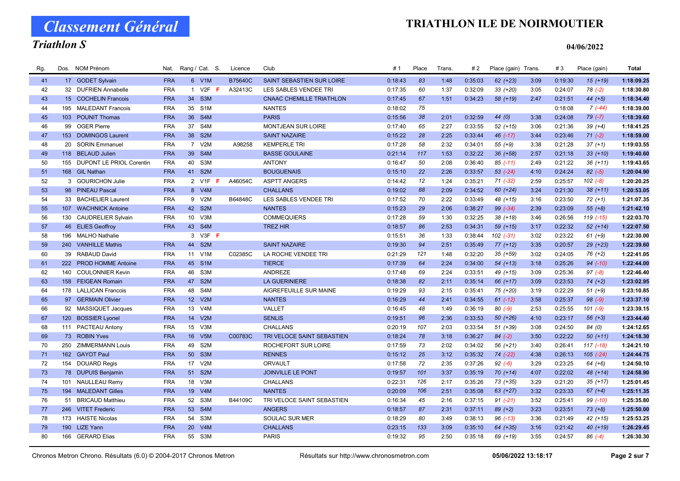Classement Général

# Triathlon S

| Rg. | Dos. | NOM Prénom                   | Nat.       |                 | Rang / Cat. S.   | Licence        | Club                            | #1      | Place | Trans. | # 2     | Place (gain) Trans. |      | #3      | Place (gain)  | <b>Total</b> |
|-----|------|------------------------------|------------|-----------------|------------------|----------------|---------------------------------|---------|-------|--------|---------|---------------------|------|---------|---------------|--------------|
| 41  |      | 17 GODET Sylvain             | <b>FRA</b> |                 | 6 V1M            | <b>B75640C</b> | SAINT SEBASTIEN SUR LOIRE       | 0:18:43 | 83    | 1:48   | 0:35:03 | $62 (+23)$          | 3:09 | 0:19:30 | $15(+19)$     | 1:18:09.25   |
| 42  |      | 32 DUFRIEN Annabelle         | <b>FRA</b> | $\overline{1}$  | $V2F$ F          | A32413C        | LES SABLES VENDEE TRI           | 0:17:35 | 60    | 1:37   | 0:32:09 | $33 (+20)$          | 3:05 | 0:24:07 | $78(-2)$      | 1:18:30.80   |
| 43  |      | 15 COCHELIN Francois         | <b>FRA</b> | 34              | S <sub>3</sub> M |                | <b>CNAAC CHEMILLE TRIATHLON</b> | 0:17:45 | 67    | 1:51   | 0:34:23 | 58 (+19)            | 2:47 | 0:21:51 | $44 (+5)$     | 1:18:34.40   |
| 44  | 195  | <b>MALEDANT Francois</b>     | <b>FRA</b> | 35              | S <sub>1</sub> M |                | <b>NANTES</b>                   | 0:18:02 | 75    |        |         |                     |      | 0:18:08 | $7(-44)$      | 1:18:39.00   |
| 45  |      | 103 POUNIT Thomas            | <b>FRA</b> | 36              | S <sub>4</sub> M |                | <b>PARIS</b>                    | 0:15:56 | 38    | 2:01   | 0:32:59 | 44 (0)              | 3:38 | 0:24:08 | $79(-7)$      | 1:18:39.60   |
| 46  |      | 99 OGER Pierre               | <b>FRA</b> | 37              | S <sub>4</sub> M |                | <b>MONTJEAN SUR LOIRE</b>       | 0:17:40 | 65    | 2:27   | 0:33:55 | $52 (+15)$          | 3:06 | 0:21:36 | $39 (+4)$     | 1:18:41.25   |
| 47  |      | 153 DOMINGOS Laurent         | <b>FRA</b> | 38              | S <sub>2</sub> M |                | <b>SAINT NAZAIRE</b>            | 0:15:22 | 28    | 2:25   | 0:33:44 | 46 (-17)            | 3:44 | 0:23:46 | $71 (-2)$     | 1:18:59.00   |
| 48  | 20   | <b>SORIN Emmanuel</b>        | <b>FRA</b> |                 | 7 V2M            | A98258         | <b>KEMPERLE TRI</b>             | 0:17:28 | 58    | 2:32   | 0:34:01 | $55(+9)$            | 3:38 | 0:21:28 | $37 (+1)$     | 1:19:03.55   |
| 49  |      | 118 BELAUD Julien            | <b>FRA</b> | 39              | S4M              |                | <b>BASSE GOULAINE</b>           | 0:21:14 | 117   | 1:53   | 0:32:22 | 36 (+58)            | 2:57 | 0:21:18 | $33 (+10)$    | 1:19:40.60   |
| 50  |      | 155 DUPONT LE PRIOL Corentin | <b>FRA</b> | 40              | S3M              |                | <b>ANTONY</b>                   | 0:16:47 | 50    | 2:08   | 0:36:40 | $85$ $(-11)$        | 2:49 | 0:21:22 | $36 (+11)$    | 1:19:43.65   |
| 51  |      | 168 GIL Nathan               | <b>FRA</b> | 41              | S <sub>2M</sub>  |                | <b>BOUGUENAIS</b>               | 0:15:10 | 22    | 2:26   | 0:33:57 | $53$ $(-24)$        | 4:10 | 0:24:24 | $82 (-5)$     | 1:20:04.90   |
| 52  |      | 3 GOURICHON Julie            | <b>FRA</b> |                 | 2 V1F            | A46054C        | <b>ASPTT ANGERS</b>             | 0:14:42 | 12    | 1:24   | 0:35:21 | $71 (-32)$          | 2:59 | 0:25:57 | $102(-8)$     | 1:20:20.25   |
| 53  |      | 98 PINEAU Pascal             | <b>FRA</b> |                 | 8 V4M            |                | <b>CHALLANS</b>                 | 0:19:02 | 88    | 2:09   | 0:34:52 | $60 (+24)$          | 3:24 | 0:21:30 | $38(+11)$     | 1:20:53.05   |
| 54  |      | 33 BACHELIER Laurent         | <b>FRA</b> |                 | 9 V2M            | B64848C        | LES SABLES VENDEE TRI           | 0:17:52 | 70    | 2:22   | 0:33:49 | 48 (+15)            | 3:16 | 0:23:50 | $72 (+1)$     | 1:21:07.35   |
| 55  |      | 107 WACHNICK Antoine         | <b>FRA</b> | 42              | S <sub>2</sub> M |                | <b>NANTES</b>                   | 0:15:23 | 29    | 2:06   | 0:38:27 | 99 (-34)            | 2:39 | 0:23:09 | $55(+8)$      | 1:21:42.10   |
| 56  |      | 130 CAUDRELIER Sylvain       | <b>FRA</b> | 10 <sup>1</sup> | V <sub>3</sub> M |                | <b>COMMEQUIERS</b>              | 0:17:28 | 59    | 1:30   | 0:32:25 | $38 (+18)$          | 3:46 | 0:26:56 | 119 (-15)     | 1:22:03.70   |
| 57  |      | 46 ELIES Geoffroy            | <b>FRA</b> |                 | 43 S4M           |                | <b>TREZ HIR</b>                 | 0:18:57 | 86    | 2:53   | 0:34:31 | 59 (+15)            | 3:17 | 0:22:32 | $52 (+14)$    | 1:22:07.50   |
| 58  | 196  | <b>MALHO Nathalie</b>        |            | 3               | $V3F$ F          |                |                                 | 0:15:51 | 36    | 1:33   | 0:38:44 | $102$ $(-31)$       | 3:02 | 0:23:22 | $61 (+9)$     | 1:22:30.00   |
| 59  |      | 240 VANHILLE Mathis          | <b>FRA</b> |                 | 44 S2M           |                | <b>SAINT NAZAIRE</b>            | 0:19:30 | 94    | 2:51   | 0:35:49 | $77(+12)$           | 3:35 | 0:20:57 | $29$ $(+23)$  | 1:22:39.60   |
| 60  |      | 39 RABAUD David              | <b>FRA</b> |                 | 11 V1M           | C02385C        | LA ROCHE VENDEE TRI             | 0:21:29 | 121   | 1:48   | 0:32:20 | $35 (+59)$          | 3:02 | 0:24:05 | $76(+2)$      | 1:22:41.05   |
| 61  |      | 222 PROD HOMME Antoine       | <b>FRA</b> | 45              | S <sub>1</sub> M |                | <b>TIERCE</b>                   | 0:17:39 | 64    | 2:24   | 0:34:00 | $54(+13)$           | 3:18 | 0:25:26 | 94 (-10)      | 1:22:44.00   |
| 62  |      | 140 COULONNIER Kevin         | <b>FRA</b> | 46              | S3M              |                | ANDREZE                         | 0:17:48 | 69    | 2:24   | 0:33:51 | 49 (+15)            | 3:09 | 0:25:36 | $97 (-8)$     | 1:22:46.40   |
| 63  |      | 158 FEIGEAN Romain           | <b>FRA</b> | 47              | S <sub>2</sub> M |                | <b>LA GUERINIERE</b>            | 0:18:38 | 82    | 2:11   | 0:35:14 | 66 (+17)            | 3:09 | 0:23:53 | $74 (+2)$     | 1:23:02.95   |
| 64  |      | 178 LALLICAN Francois        | <b>FRA</b> | 48              | S <sub>4</sub> M |                | AIGREFEUILLE SUR MAINE          | 0:19:29 | 93    | 2:15   | 0:35:41 | 75 (+20)            | 3:19 | 0:22:29 | $51 (+9)$     | 1:23:10.85   |
| 65  |      | 97 GERMAIN Olivier           | <b>FRA</b> | 12 <sup>2</sup> | V2M              |                | <b>NANTES</b>                   | 0:16:29 | 44    | 2:41   | 0:34:55 | $61 (-12)$          | 3:58 | 0:25:37 | $98 (-9)$     | 1:23:37.10   |
| 66  |      | 92 MASSIQUET Jacques         | <b>FRA</b> | 13              | V <sub>4</sub> M |                | VALLET                          | 0:16:45 | 48    | 1:49   | 0:36:19 | $80(-9)$            | 2:53 | 0:25:55 | $101 (-9)$    | 1:23:39.15   |
| 67  |      | 120 BOSSIER Lyonel           | <b>FRA</b> | 14              | V2M              |                | <b>SENLIS</b>                   | 0:19:51 | 96    | 2:36   | 0:33:53 | 50 (+26)            | 4:10 | 0:23:17 | $56 (+3)$     | 1:23:44.40   |
| 68  | 111  | PACTEAU Antony               | <b>FRA</b> | 15              | V3M              |                | <b>CHALLANS</b>                 | 0:20:19 | 107   | 2:03   | 0:33:54 | 51 (+39)            | 3:08 | 0:24:50 | 84 (0)        | 1:24:12.65   |
| 69  |      | 73 ROBIN Yves                | <b>FRA</b> |                 | 16 V5M           | C00783C        | TRI VELOCE SAINT SEBASTIEN      | 0:18:24 | 78    | 3:18   | 0:36:27 | $84 (-2)$           | 3:50 | 0:22:22 | $50(+11)$     | 1:24:18.30   |
| 70  |      | 250 ZIMMERMANN Louis         | <b>FRA</b> | 49              | S <sub>2</sub> M |                | ROCHEFORT SUR LOIRE             | 0:17:59 | 73    | 2:02   | 0:34:02 | 56 (+21)            | 3:40 | 0:26:41 | $117(-18)$    | 1:24:21.10   |
| 71  |      | 162 GAYOT Paul               | <b>FRA</b> | 50              | S <sub>3</sub> M |                | <b>RENNES</b>                   | 0:15:12 | 25    | 3:12   | 0:35:32 | 74 (-22)            | 4:38 | 0:26:13 | $105$ $(-24)$ | 1:24:44.75   |
| 72  |      | 154 DOUARD Regis             | <b>FRA</b> | 17              | V2M              |                | ORVAULT                         | 0:17:58 | 72    | 2:35   | 0:37:26 | $92 (-6)$           | 3:29 | 0:23:25 | $64 (+6)$     | 1:24:50.10   |
| 73  |      | 78 DUPUIS Benjamin           | <b>FRA</b> | 51              | S <sub>2</sub> M |                | <b>JOINVILLE LE PONT</b>        | 0:19:57 | 101   | 3:37   | 0:35:19 | $70(+14)$           | 4:07 | 0:22:02 | 48 (+14)      | 1:24:58.90   |
| 74  | 101  | <b>NAULLEAU Remy</b>         | <b>FRA</b> | 18              | V3M              |                | <b>CHALLANS</b>                 | 0:22:31 | 126   | 2:17   | 0:35:26 | 73 (+35)            | 3:29 | 0:21:20 | $35 (+17)$    | 1:25:01.45   |
| 75  |      | 194 MALEDANT Gilles          | <b>FRA</b> | 19              | V4M              |                | <b>NANTES</b>                   | 0:20:09 | 106   | 2:51   | 0:35:08 | 63 (+27)            | 3:32 | 0:23:33 | $67 (+4)$     | 1:25:11.35   |
| 76  |      | 51 BRICAUD Matthieu          | <b>FRA</b> | 52              | S3M              | B44109C        | TRI VELOCE SAINT SEBASTIEN      | 0:16:34 | 45    | 2:16   | 0:37:15 | $91 (-21)$          | 3:52 | 0:25:41 | 99 (-10)      | 1:25:35.80   |
| 77  |      | 246 VITET Frederic           | <b>FRA</b> | 53              | S <sub>4</sub> M |                | <b>ANGERS</b>                   | 0:18:57 | 87    | 2:31   | 0:37:11 | $89 (+2)$           | 3:23 | 0:23:51 | $73 (+8)$     | 1:25:50.00   |
| 78  | 173  | <b>HAISTE Nicolas</b>        | <b>FRA</b> | 54              | S <sub>3</sub> M |                | SOULAC SUR MER                  | 0:18:29 | 80    | 3:49   | 0:38:13 | $96$ $(-13)$        | 3:36 | 0:21:49 | 42 (+15)      | 1:25:53.25   |
| 79  |      | 190 LIZE Yann                | <b>FRA</b> | 20 <sup>°</sup> | V4M              |                | <b>CHALLANS</b>                 | 0:23:15 | 133   | 3:09   | 0:35:10 | 64 (+35)            | 3:16 | 0:21:42 | 40 (+19)      | 1:26:29.45   |
| 80  |      | 166 GERARD Elias             | <b>FRA</b> |                 | 55 S3M           |                | <b>PARIS</b>                    | 0:19:32 | 95    | 2:50   | 0:35:18 | 69 (+19)            | 3:55 | 0:24:57 | $86(-4)$      | 1:26:30.30   |
|     |      |                              |            |                 |                  |                |                                 |         |       |        |         |                     |      |         |               |              |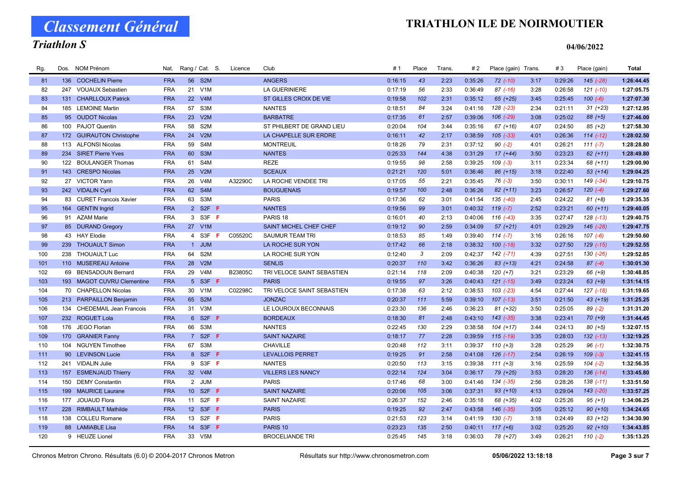Classement Général

# Triathlon S

| Rg. | Dos. | <b>NOM Prénom</b>              | Nat.       |                 | Rang / Cat. S.    | Licence | Club                       | #1      | Place | Trans. | # 2     | Place (gain) Trans. |      | #3      | Place (gain)  | <b>Total</b> |
|-----|------|--------------------------------|------------|-----------------|-------------------|---------|----------------------------|---------|-------|--------|---------|---------------------|------|---------|---------------|--------------|
| 81  |      | 136 COCHELIN Pierre            | <b>FRA</b> | 56              | S <sub>2M</sub>   |         | <b>ANGERS</b>              | 0:16:15 | 43    | 2:23   | 0:35:26 | $72$ $(-10)$        | 3:17 | 0:29:26 | 145 (-28)     | 1:26:44.45   |
| 82  |      | 247 VOUAUX Sebastien           | <b>FRA</b> | 21              | V1M               |         | <b>LA GUERINIERE</b>       | 0:17:19 | 56    | 2:33   | 0:36:49 | $87$ $(-16)$        | 3:28 | 0:26:58 | $121$ $(-10)$ | 1:27:05.75   |
| 83  | 131  | <b>CHARLLOUX Patrick</b>       | <b>FRA</b> | 22              | V4M               |         | ST GILLES CROIX DE VIE     | 0:19:58 | 102   | 2:31   | 0:35:12 | 65 (+25)            | 3:45 | 0:25:45 | $100(-6)$     | 1:27:07.30   |
| 84  | 185  | <b>LEMOINE Martin</b>          | <b>FRA</b> | 57              | S3M               |         | <b>NANTES</b>              | 0:18:51 | 84    | 3:24   | 0:41:16 | 128 (-23)           | 2:34 | 0:21:11 | $31 (+23)$    | 1:27:12.95   |
| 85  |      | 95 OUDOT Nicolas               | <b>FRA</b> | 23              | V2M               |         | <b>BARBATRE</b>            | 0:17:35 | 61    | 2:57   | 0:39:06 | $106$ $(-29)$       | 3:08 | 0:25:02 | 88 (+5)       | 1:27:46.00   |
| 86  |      | 100 PAJOT Quentin              | <b>FRA</b> | 58              | S <sub>2</sub> M  |         | ST PHILBERT DE GRAND LIEU  | 0:20:04 | 104   | 3:44   | 0:35:16 | $67 (+16)$          | 4:07 | 0:24:50 | $85 (+2)$     | 1:27:58.30   |
| 87  |      | 172 GUIRAUTON Christophe       | <b>FRA</b> | 24              | V2M               |         | LA CHAPELLE SUR ERDRE      | 0:16:11 | 42    | 2:17   | 0:38:59 | $105$ $(-33)$       | 4:01 | 0:26:36 | $114$ $(-12)$ | 1:28:02.50   |
| 88  |      | 113 ALFONSI Nicolas            | <b>FRA</b> | 59              | S <sub>4</sub> M  |         | <b>MONTREUIL</b>           | 0:18:26 | 79    | 2:31   | 0:37:12 | $90 (-2)$           | 4:01 | 0:26:21 | $111(-7)$     | 1:28:28.80   |
| 89  |      | 234 SIRET Pierre Yves          | <b>FRA</b> | 60              | S <sub>3</sub> M  |         | <b>NANTES</b>              | 0:25:33 | 144   | 4:38   | 0:31:29 | $17(+44)$           | 3:50 | 0:23:23 | $62 (+11)$    | 1:28:49.80   |
| 90  | 122  | <b>BOULANGER Thomas</b>        | <b>FRA</b> | 61              | S <sub>4</sub> M  |         | <b>REZE</b>                | 0:19:55 | 98    | 2:58   | 0:39:25 | $109$ $(-3)$        | 3:11 | 0:23:34 | 68 (+11)      | 1:29:00.90   |
| 91  |      | 143 CRESPO Nicolas             | <b>FRA</b> | 25              | V2M               |         | <b>SCEAUX</b>              | 0:21:21 | 120   | 5:01   | 0:36:46 | 86 (+15)            | 3:18 | 0:22:40 | $53(+14)$     | 1:29:04.25   |
| 92  |      | 27 VICTOR Yann                 | <b>FRA</b> | 26              | V <sub>4</sub> M  | A32290C | LA ROCHE VENDEE TRI        | 0:17:05 | 55    | 2:21   | 0:35:45 | $76$ $(-3)$         | 3:50 | 0:30:11 | 149 (-34)     | 1:29:10.75   |
| 93  |      | 242 VIDALIN Cyril              | <b>FRA</b> | 62              | S4M               |         | <b>BOUGUENAIS</b>          | 0:19:57 | 100   | 2:48   | 0:36:26 | $82 (+11)$          | 3:23 | 0:26:57 | $120(-4)$     | 1:29:27.60   |
| 94  |      | 83 CURET Francois Xavier       | <b>FRA</b> | 63              | S3M               |         | <b>PARIS</b>               | 0:17:36 | 62    | 3:01   | 0:41:54 | 135 (-40)           | 2:45 | 0:24:22 | $81 (+8)$     | 1:29:35.35   |
| 95  |      | 164 GENTIN Ingrid              | <b>FRA</b> |                 | 2 S2F F           |         | <b>NANTES</b>              | 0:19:56 | 99    | 3:01   | 0:40:32 | $119(-7)$           | 2:52 | 0:23:21 | $60 (+11)$    | 1:29:40.05   |
| 96  |      | 91 AZAM Marie                  | <b>FRA</b> |                 | 3 S3F <b>F</b>    |         | PARIS <sub>18</sub>        | 0:16:01 | 40    | 2:13   | 0:40:06 | $116$ $(-43)$       | 3:35 | 0:27:47 | $128$ $(-13)$ | 1:29:40.75   |
| 97  |      | 85 DURAND Gregory              | <b>FRA</b> |                 | 27 V1M            |         | SAINT MICHEL CHEF CHEF     | 0:19:12 | 90    | 2:59   | 0:34:09 | $57 (+21)$          | 4:01 | 0:29:29 | 146 (-28)     | 1:29:47.75   |
| 98  |      | 43 HAY Elodie                  | <b>FRA</b> | $\overline{4}$  | S3F<br>F          | C05520C | <b>SAUMUR TEAM TRI</b>     | 0:18:53 | 85    | 1:49   | 0:39:40 | $114 (-7)$          | 3:16 | 0:26:16 | $107(-6)$     | 1:29:50.60   |
| 99  |      | 239 THOUAULT Simon             | <b>FRA</b> |                 | 1 JUM             |         | LA ROCHE SUR YON           | 0:17:42 | 66    | 2:18   | 0:38:32 | $100(-18)$          | 3:32 | 0:27:50 | 129 (-15)     | 1:29:52.55   |
| 100 |      | 238 THOUAULT Luc               | <b>FRA</b> | 64              | S <sub>2</sub> M  |         | LA ROCHE SUR YON           | 0:12:40 | 3     | 2:09   | 0:42:37 | 142 (-71)           | 4:39 | 0:27:51 | 130 (-26)     | 1:29:52.85   |
| 101 |      | 110 MUSEREAU Antoine           | <b>FRA</b> | 28              | V2M               |         | <b>SENLIS</b>              | 0:20:37 | 110   | 3:42   | 0:36:26 | $83 (+13)$          | 4:21 | 0:24:58 | $87 (-4)$     | 1:30:01.30   |
| 102 |      | 69 BENSADOUN Bernard           | <b>FRA</b> | 29              | V <sub>4</sub> M  | B23805C | TRI VELOCE SAINT SEBASTIEN | 0:21:14 | 118   | 2:09   | 0:40:38 | $120 (+7)$          | 3:21 | 0:23:29 | 66 (+9)       | 1:30:48.85   |
| 103 |      | 193 MAGOT CUVRU Clementine     | <b>FRA</b> | 5 <sup>5</sup>  | S3F F             |         | <b>PARIS</b>               | 0:19:55 | 97    | 3:26   | 0:40:43 | $121$ $(-15)$       | 3:49 | 0:23:24 | $63 (+9)$     | 1:31:14.15   |
| 104 |      | 70 CHAPELLON Nicolas           | <b>FRA</b> | 30              | V1M               | C02298C | TRI VELOCE SAINT SEBASTIEN | 0:17:38 | 63    | 2:12   | 0:38:53 | $103$ $(-23)$       | 4:54 | 0:27:44 | 127 (-18)     | 1:31:19.65   |
| 105 |      | 213 PARPAILLON Benjamin        | <b>FRA</b> | 65              | S <sub>2</sub> M  |         | <b>JONZAC</b>              | 0:20:37 | 111   | 5:59   | 0:39:10 | $107$ $(-13)$       | 3:51 | 0:21:50 | 43 (+19)      | 1:31:25.25   |
| 106 | 134  | <b>CHEDEMAIL Jean Francois</b> | <b>FRA</b> | 31              | V3M               |         | LE LOUROUX BECONNAIS       | 0:23:30 | 136   | 2:46   | 0:36:23 | 81 (+32)            | 3:50 | 0:25:05 | $89(-2)$      | 1:31:31.20   |
| 107 |      | 232 ROGUET Lola                | <b>FRA</b> | 6 <sup>1</sup>  | $S2F$ F           |         | <b>BORDEAUX</b>            | 0:18:30 | 81    | 2:48   | 0:43:10 | $143$ $(-35)$       | 3:38 | 0:23:41 | $70 (+9)$     | 1:31:44.45   |
| 108 | 176  | <b>JEGO Florian</b>            | <b>FRA</b> | 66              | S <sub>3</sub> M  |         | <b>NANTES</b>              | 0:22:45 | 130   | 2:29   | 0:38:58 | $104 (+17)$         | 3:44 | 0:24:13 | $80 (+5)$     | 1:32:07.15   |
| 109 |      | 170 GRANIER Fanny              | <b>FRA</b> |                 | 7 S2F <b>F</b>    |         | <b>SAINT NAZAIRE</b>       | 0:18:17 | 77    | 2:28   | 0:39:59 | $115$ (-19)         | 3:35 | 0:28:03 | $132$ $(-13)$ | 1:32:19.25   |
| 110 |      | 104 NGUYEN Timothee            | <b>FRA</b> | 67              | S3M               |         | CHAVILLE                   | 0:20:48 | 112   | 3:11   | 0:39:37 | $110 (+3)$          | 3:28 | 0:25:29 | $96(-1)$      | 1:32:30.75   |
| 111 |      | 90 LEVINSON Lucie              | <b>FRA</b> |                 | 8 S2F F           |         | <b>LEVALLOIS PERRET</b>    | 0:19:25 | 91    | 2:58   | 0:41:08 | $126$ $(-17)$       | 2:54 | 0:26:19 | $109(-3)$     | 1:32:41.15   |
| 112 |      | 241 VIDALIN Julie              | <b>FRA</b> | 9               | S3F F             |         | <b>NANTES</b>              | 0:20:50 | 113   | 3:15   | 0:39:38 | $111 (+3)$          | 3:16 | 0:25:59 | $104 (-2)$    | 1:32:56.35   |
| 113 | 157  | <b>ESMENJAUD Thierry</b>       | <b>FRA</b> | 32 <sup>2</sup> | V4M               |         | <b>VILLERS LES NANCY</b>   | 0:22:14 | 124   | 3:04   | 0:36:17 | 79 (+25)            | 3:53 | 0:28:20 | $136(-14)$    | 1:33:45.80   |
| 114 | 150  | <b>DEMY Constantin</b>         | <b>FRA</b> |                 | 2 JUM             |         | <b>PARIS</b>               | 0:17:46 | 68    | 3:00   | 0:41:46 | 134 (-35)           | 2:56 | 0:28:26 | $138(-11)$    | 1:33:51.50   |
| 115 |      | 199 MAURICE Laurane            | <b>FRA</b> | 10 <sup>1</sup> | S <sub>2F</sub> F |         | <b>SAINT NAZAIRE</b>       | 0:20:06 | 105   | 3:06   | 0:37:31 | $93 (+10)$          | 4:13 | 0:29:04 | 143 (-20)     | 1:33:57.25   |
| 116 |      | 177 JOUAUD Flora               | <b>FRA</b> | 11              | $S2F$ F           |         | <b>SAINT NAZAIRE</b>       | 0:26:37 | 152   | 2:46   | 0:35:18 | 68 (+35)            | 4:02 | 0:25:26 | $95 (+1)$     | 1:34:06.25   |
| 117 |      | 228 RIMBAULT Mathilde          | <b>FRA</b> | 12 <sup>2</sup> | S3F F             |         | <b>PARIS</b>               | 0:19:25 | 92    | 2:47   | 0:43:58 | 146 (-35)           | 3:05 | 0:25:12 | $90 (+10)$    | 1:34:24.65   |
| 118 | 138  | <b>COLLEU Romane</b>           | <b>FRA</b> | 13              | S <sub>2F</sub> F |         | <b>PARIS</b>               | 0:21:53 | 123   | 3:14   | 0:41:19 | $130(-7)$           | 3:18 | 0:24:49 | 83 (+12)      | 1:34:30.90   |
| 119 |      | 88 LAMIABLE Lisa               | <b>FRA</b> |                 | 14 S3F F          |         | PARIS <sub>10</sub>        | 0:23:23 | 135   | 2:50   | 0:40:11 | $117(+6)$           | 3:02 | 0:25:20 | $92 (+10)$    | 1:34:43.85   |
| 120 |      | 9 HEUZE Lionel                 | <b>FRA</b> |                 | 33 V5M            |         | <b>BROCELIANDE TRI</b>     | 0:25:45 | 145   | 3:18   | 0:36:03 | 78 (+27)            | 3:49 | 0:26:21 | $110(-2)$     | 1:35:13.25   |
|     |      |                                |            |                 |                   |         |                            |         |       |        |         |                     |      |         |               |              |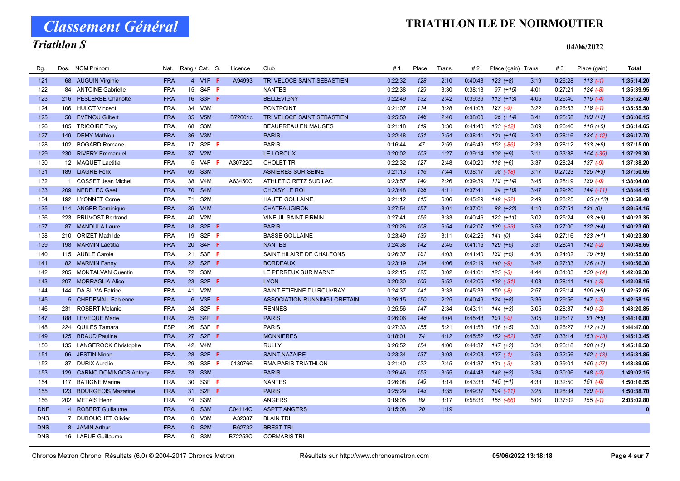Classement Général

# Triathlon S

| Rg.        |     | Dos. NOM Prénom           |            | Nat. Rang / Cat. S. |                               | Licence        | Club                         | #1      | Place | Trans. | #2      | Place (gain) Trans. |      | #3      | Place (gain)  | Total      |
|------------|-----|---------------------------|------------|---------------------|-------------------------------|----------------|------------------------------|---------|-------|--------|---------|---------------------|------|---------|---------------|------------|
| 121        |     | 68 AUGUIN Virginie        | <b>FRA</b> |                     | 4 V1F F                       | A94993         | TRI VELOCE SAINT SEBASTIEN   | 0:22:32 | 128   | 2:10   | 0:40:48 | $123 (+8)$          | 3:19 | 0:26:28 | $113(-1)$     | 1:35:14.20 |
| 122        |     | 84 ANTOINE Gabrielle      | <b>FRA</b> |                     | 15 S4F F                      |                | <b>NANTES</b>                | 0:22:38 | 129   | 3:30   | 0:38:13 | $97 (+15)$          | 4:01 | 0:27:21 | $124 (-8)$    | 1:35:39.95 |
| 123        |     | 216 PESLERBE Charlotte    | <b>FRA</b> |                     | 16 S3F F                      |                | <b>BELLEVIGNY</b>            | 0:22:49 | 132   | 2:42   | 0:39:39 | $113 (+13)$         | 4:05 | 0:26:40 | $115(-4)$     | 1:35:52.40 |
| 124        |     | 106 HULOT Vincent         | <b>FRA</b> | 34                  | V3M                           |                | <b>PONTPOINT</b>             | 0:21:07 | 114   | 3:28   | 0:41:08 | $127(-9)$           | 3:22 | 0:26:53 | $118(-1)$     | 1:35:55.50 |
| 125        |     | 50 EVENOU Gilbert         | <b>FRA</b> | 35 <sup>5</sup>     | V <sub>5</sub> M              | B72601c        | TRI VELOCE SAINT SEBASTIEN   | 0:25:50 | 146   | 2:40   | 0:38:00 | $95 (+14)$          | 3:41 | 0:25:58 | $103 (+7)$    | 1:36:06.15 |
| 126        |     | 105 TRICOIRE Tony         | <b>FRA</b> | 68                  | S3M                           |                | <b>BEAUPREAU EN MAUGES</b>   | 0:21:18 | 119   | 3:30   | 0:41:40 | $133( -12)$         | 3:09 | 0:26:40 | $116 (+5)$    | 1:36:14.65 |
| 127        | 149 | <b>DEMY Mathieu</b>       | <b>FRA</b> | 36 <sup>°</sup>     | V3M                           |                | <b>PARIS</b>                 | 0:22:48 | 131   | 2:54   | 0:38:41 | $101 (+16)$         | 3:42 | 0:28:16 | $134$ $(-12)$ | 1:36:17.70 |
| 128        |     | 102 BOGARD Romane         | <b>FRA</b> | 17                  | S <sub>2</sub> F <sub>F</sub> |                | <b>PARIS</b>                 | 0:16:44 | 47    | 2:59   | 0:46:49 | 153 (-86)           | 2:33 | 0:28:12 | $133 (+5)$    | 1:37:15.00 |
| 129        |     | 230 RIVERY Emmanuel       | <b>FRA</b> |                     | 37 V2M                        |                | LE LOROUX                    | 0:20:02 | 103   | 1:27   | 0:39:14 | $108 (+9)$          | 3:11 | 0:33:38 | 154 (-35)     | 1:37:29.30 |
| 130        |     | 12 MAQUET Laetitia        | <b>FRA</b> |                     | 5 V4F <b>F</b>                | A30722C        | <b>CHOLET TRI</b>            | 0:22:32 | 127   | 2:48   | 0:40:20 | $118 (+6)$          | 3:37 | 0:28:24 | $137 (-9)$    | 1:37:38.20 |
| 131        |     | 189 LIAGRE Felix          | <b>FRA</b> |                     | 69 S3M                        |                | <b>ASNIERES SUR SEINE</b>    | 0:21:13 | 116   | 7:44   | 0:38:17 | $98$ $(-18)$        | 3:17 | 0:27:23 | $125 (+3)$    | 1:37:50.65 |
| 132        |     | 1 COSSET Jean Michel      | <b>FRA</b> | 38                  | V <sub>4</sub> M              | A63450C        | ATHLETIC RETZ SUD LAC        | 0:23:57 | 140   | 2:26   | 0:39:39 | $112 (+14)$         | 3:45 | 0:28:19 | $135(-6)$     | 1:38:04.00 |
| 133        |     | 209 NEDELEC Gael          | <b>FRA</b> | 70                  | S4M                           |                | <b>CHOISY LE ROI</b>         | 0:23:48 | 138   | 4:11   | 0:37:41 | $94 (+16)$          | 3:47 | 0:29:20 | $144$ $(-11)$ | 1:38:44.15 |
| 134        |     | 192 LYONNET Come          | <b>FRA</b> | 71                  | S <sub>2</sub> M              |                | <b>HAUTE GOULAINE</b>        | 0:21:12 | 115   | 6:06   | 0:45:29 | 149 (-32)           | 2:49 | 0:23:25 | $65 (+13)$    | 1:38:58.40 |
| 135        |     | 114 ANGER Dominique       | <b>FRA</b> | 39                  | V4M                           |                | <b>CHATEAUGIRON</b>          | 0:27:54 | 157   | 3:01   | 0:37:01 | 88 (+22)            | 4:10 | 0:27:51 | 131(0)        | 1:39:54.15 |
| 136        |     | 223 PRUVOST Bertrand      | <b>FRA</b> | 40                  | V2M                           |                | <b>VINEUIL SAINT FIRMIN</b>  | 0:27:41 | 156   | 3:33   | 0:40:46 | $122 (+11)$         | 3:02 | 0:25:24 | $93 (+9)$     | 1:40:23.35 |
| 137        |     | 87 MANDULA Laure          | <b>FRA</b> | 18                  | S <sub>2F</sub> F             |                | <b>PARIS</b>                 | 0:20:26 | 108   | 6:54   | 0:42:07 | 139 (-33)           | 3:58 | 0:27:00 | $122 (+4)$    | 1:40:23.60 |
| 138        |     | 210 ORIZET Mathilde       | <b>FRA</b> |                     | 19 S2F F                      |                | <b>BASSE GOULAINE</b>        | 0:23:49 | 139   | 3:11   | 0:42:26 | 141(0)              | 3:44 | 0:27:16 | $123 (+1)$    | 1:40:23.80 |
| 139        |     | 198 MARMIN Laetitia       | <b>FRA</b> |                     | 20 S4F F                      |                | <b>NANTES</b>                | 0:24:38 | 142   | 2:45   | 0:41:16 | $129 (+5)$          | 3:31 | 0:28:41 | $142$ (-2)    | 1:40:48.65 |
| 140        |     | 115 AUBLE Carole          | <b>FRA</b> | 21                  | S3F F                         |                | SAINT HILAIRE DE CHALEONS    | 0:26:37 | 151   | 4:03   | 0:41:40 | $132 (+5)$          | 4:36 | 0:24:02 | $75(+6)$      | 1:40:55.80 |
| 141        |     | 82 MARMIN Fanny           | <b>FRA</b> |                     | 22 S2F F                      |                | <b>BORDEAUX</b>              | 0:23:19 | 134   | 4:06   | 0:42:19 | $140(-9)$           | 3:42 | 0:27:33 | $126 (+2)$    | 1:40:56.30 |
| 142        |     | 205 MONTALVAN Quentin     | <b>FRA</b> |                     | 72 S3M                        |                | LE PERREUX SUR MARNE         | 0:22:15 | 125   | 3:02   | 0:41:01 | $125$ $(-3)$        | 4:44 | 0:31:03 | $150(-14)$    | 1:42:02.30 |
| 143        |     | 207 MORRAGLIA Alice       | <b>FRA</b> | 23                  | S <sub>2F</sub> F             |                | <b>LYON</b>                  | 0:20:30 | 109   | 6:52   | 0:42:05 | $138(-31)$          | 4:03 | 0:28:41 | $141 (-3)$    | 1:42:08.15 |
| 144        |     | 144 DA SILVA Patrice      | <b>FRA</b> |                     | 41 V2M                        |                | SAINT ETIENNE DU ROUVRAY     | 0:24:37 | 141   | 3:33   | 0:45:33 | $150(-8)$           | 2:57 | 0:26:14 | $106 (+5)$    | 1:42:52.05 |
| 145        |     | 5 CHEDEMAIL Fabienne      | <b>FRA</b> |                     | 6 V3F <b>F</b>                |                | ASSOCIATION RUNNING LORETAIN | 0:26:15 | 150   | 2:25   | 0:40:49 | $124 (+8)$          | 3:36 | 0:29:56 | $147$ (-3)    | 1:42:58.15 |
| 146        |     | 231 ROBERT Melanie        | <b>FRA</b> | 24                  | S <sub>2F</sub> F             |                | <b>RENNES</b>                | 0:25:56 | 147   | 2:34   | 0:43:11 | $144 (+3)$          | 3:05 | 0:28:37 | $140(-2)$     | 1:43:20.85 |
| 147        |     | 188 LEVEQUE Marie         | <b>FRA</b> | 25 <sub>2</sub>     | S <sub>4F</sub> F             |                | <b>PARIS</b>                 | 0:26:06 | 148   | 4:04   | 0:45:48 | $151 (-5)$          | 3:05 | 0:25:17 | $91 (+6)$     | 1:44:16.80 |
| 148        |     | 224 QUILES Tamara         | <b>ESP</b> |                     | 26 S3F F                      |                | <b>PARIS</b>                 | 0:27:33 | 155   | 5:21   | 0:41:58 | $136 (+5)$          | 3:31 | 0:26:27 | $112 (+2)$    | 1:44:47.00 |
| 149        |     | 125 BRAUD Pauline         | <b>FRA</b> |                     | 27 S2F F                      |                | <b>MONNIERES</b>             | 0:18:01 | 74    | 4:12   | 0:45:52 | 152 (-62)           | 3:57 | 0:33:14 | $153$ $(-13)$ | 1:45:13.45 |
| 150        |     | 135 LANGEROCK Christophe  | <b>FRA</b> | 42                  | V <sub>4</sub> M              |                | <b>RULLY</b>                 | 0:26:52 | 154   | 4:00   | 0:44:37 | $147 (+2)$          | 3:34 | 0:26:18 | $108 (+2)$    | 1:45:18.50 |
| 151        |     | 96 JESTIN Ninon           | <b>FRA</b> |                     | 28 S2F F                      |                | <b>SAINT NAZAIRE</b>         | 0:23:34 | 137   | 3:03   | 0:42:03 | $137(-1)$           | 3:58 | 0:32:56 | $152$ $(-13)$ | 1:45:31.85 |
| 152        |     | 37 DURIX Aurelie          | <b>FRA</b> | 29                  | S3F                           | 0130766<br>-F. | <b>RMA PARIS TRIATHLON</b>   | 0:21:40 | 122   | 2:45   | 0:41:37 | $131 (-3)$          | 3:39 | 0:39:01 | 156 (-27)     | 1:48:39.05 |
| 153        |     | 129 CARMO DOMINGOS Antony | <b>FRA</b> |                     | 73 S3M                        |                | <b>PARIS</b>                 | 0:26:46 | 153   | 3:55   | 0:44:43 | $148 (+2)$          | 3:34 | 0:30:06 | $148$ $(-2)$  | 1:49:02.15 |
| 154        |     | 117 BATIGNE Marine        | <b>FRA</b> | 30                  | $S3F$ F                       |                | <b>NANTES</b>                | 0:26:08 | 149   | 3:14   | 0:43:33 | $145 (+1)$          | 4:33 | 0:32:50 | $151 (-6)$    | 1:50:16.55 |
| 155        |     | 123 BOURGEOIS Mazarine    | <b>FRA</b> | 31                  | S <sub>2F</sub> F             |                | <b>PARIS</b>                 | 0:25:29 | 143   | 3:35   | 0:49:37 | $154 (-11)$         | 3:25 | 0:28:34 | $139(-1)$     | 1:50:38.70 |
| 156        |     | 202 METAIS Henri          | <b>FRA</b> | 74                  | S3M                           |                | <b>ANGERS</b>                | 0:19:05 | 89    | 3:17   | 0:58:36 | 155 (-66)           | 5:06 | 0:37:02 | $155(-1)$     | 2:03:02.80 |
| <b>DNF</b> |     | 4 ROBERT Guillaume        | <b>FRA</b> | $\mathbf{0}$        | S3M                           | C04114C        | <b>ASPTT ANGERS</b>          | 0:15:08 | 20    | 1:19   |         |                     |      |         |               | $\bf{0}$   |
| <b>DNS</b> |     | 7 DUBOUCHET Olivier       | <b>FRA</b> |                     | 0 V3M                         | A32387         | <b>BLAIN TRI</b>             |         |       |        |         |                     |      |         |               |            |
| <b>DNS</b> |     | 8 JAMIN Arthur            | <b>FRA</b> |                     | 0 S2M                         | B62732         | <b>BREST TRI</b>             |         |       |        |         |                     |      |         |               |            |
| <b>DNS</b> |     | 16 LARUE Guillaume        | <b>FRA</b> |                     | 0 S3M                         | B72253C        | <b>CORMARIS TRI</b>          |         |       |        |         |                     |      |         |               |            |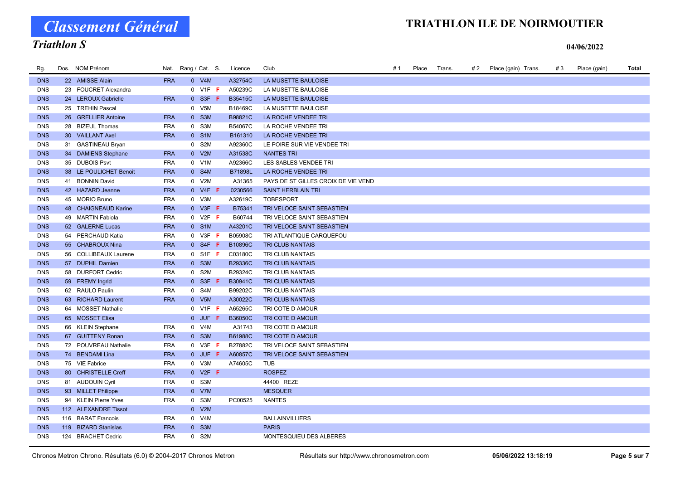# Classement Général

# TRIATHLON ILE DE NOIRMOUTIER

# Triathlon S

| Rg.        | Dos. NOM Prénom        |            | Nat. Rang / Cat. S. | Licence        | Club                                | # 1 | Place | Trans. | # 2 | Place (gain) Trans. | #3 | Place (gain) | Total |
|------------|------------------------|------------|---------------------|----------------|-------------------------------------|-----|-------|--------|-----|---------------------|----|--------------|-------|
| <b>DNS</b> | 22 AMISSE Alain        | <b>FRA</b> | 0 V4M               | A32754C        | LA MUSETTE BAULOISE                 |     |       |        |     |                     |    |              |       |
| <b>DNS</b> | 23 FOUCRET Alexandra   |            | $0$ V1F $F$         | A50239C        | LA MUSETTE BAULOISE                 |     |       |        |     |                     |    |              |       |
| <b>DNS</b> | 24 LEROUX Gabrielle    | <b>FRA</b> | $0$ S3F F           | B35415C        | LA MUSETTE BAULOISE                 |     |       |        |     |                     |    |              |       |
| <b>DNS</b> | 25 TREHIN Pascal       |            | 0 V5M               | B18469C        | LA MUSETTE BAULOISE                 |     |       |        |     |                     |    |              |       |
| <b>DNS</b> | 26 GRELLIER Antoine    | <b>FRA</b> | 0 S3M               | B98821C        | LA ROCHE VENDEE TRI                 |     |       |        |     |                     |    |              |       |
| <b>DNS</b> | 28 BIZEUL Thomas       | <b>FRA</b> | 0 S3M               | B54067C        | LA ROCHE VENDEE TRI                 |     |       |        |     |                     |    |              |       |
| <b>DNS</b> | 30 VAILLANT Axel       | <b>FRA</b> | 0 S1M               | B161310        | LA ROCHE VENDEE TRI                 |     |       |        |     |                     |    |              |       |
| <b>DNS</b> | 31 GASTINEAU Bryan     |            | 0 S2M               | A92360C        | LE POIRE SUR VIE VENDEE TRI         |     |       |        |     |                     |    |              |       |
| <b>DNS</b> | 34 DAMIENS Stephane    | <b>FRA</b> | 0 V2M               | A31538C        | <b>NANTES TRI</b>                   |     |       |        |     |                     |    |              |       |
| <b>DNS</b> | 35 DUBOIS Psvt         | <b>FRA</b> | 0 V1M               | A92366C        | LES SABLES VENDEE TRI               |     |       |        |     |                     |    |              |       |
| <b>DNS</b> | 38 LE POULICHET Benoit | <b>FRA</b> | 0 S4M               | <b>B71898L</b> | LA ROCHE VENDEE TRI                 |     |       |        |     |                     |    |              |       |
| <b>DNS</b> | 41 BONNIN David        | <b>FRA</b> | 0 V2M               | A31365         | PAYS DE ST GILLES CROIX DE VIE VEND |     |       |        |     |                     |    |              |       |
| <b>DNS</b> | 42 HAZARD Jeanne       | <b>FRA</b> | $0$ V4F F           | 0230566        | <b>SAINT HERBLAIN TRI</b>           |     |       |        |     |                     |    |              |       |
| <b>DNS</b> | 45 MORIO Bruno         | <b>FRA</b> | 0 V3M               | A32619C        | <b>TOBESPORT</b>                    |     |       |        |     |                     |    |              |       |
| <b>DNS</b> | 48 CHAIGNEAUD Karine   | <b>FRA</b> | $0$ V3F F           | B75341         | TRI VELOCE SAINT SEBASTIEN          |     |       |        |     |                     |    |              |       |
| <b>DNS</b> | 49 MARTIN Fabiola      | <b>FRA</b> | $0$ V2F F           | B60744         | TRI VELOCE SAINT SEBASTIEN          |     |       |        |     |                     |    |              |       |
| <b>DNS</b> | 52 GALERNE Lucas       | <b>FRA</b> | 0 S1M               | A43201C        | TRI VELOCE SAINT SEBASTIEN          |     |       |        |     |                     |    |              |       |
| <b>DNS</b> | 54 PERCHAUD Katia      | <b>FRA</b> | $0$ V3F $F$         | B05908C        | TRI ATLANTIQUE CARQUEFOU            |     |       |        |     |                     |    |              |       |
| <b>DNS</b> | 55 CHABROUX Nina       | <b>FRA</b> | $0$ S4F F           | B10896C        | TRI CLUB NANTAIS                    |     |       |        |     |                     |    |              |       |
| <b>DNS</b> | 56 COLLIBEAUX Laurene  | <b>FRA</b> | 0 S1F <b>F</b>      | C03180C        | TRI CLUB NANTAIS                    |     |       |        |     |                     |    |              |       |
| <b>DNS</b> | 57 DUPHIL Damien       | <b>FRA</b> | 0 S3M               | B29336C        | TRI CLUB NANTAIS                    |     |       |        |     |                     |    |              |       |
| <b>DNS</b> | 58 DURFORT Cedric      | <b>FRA</b> | 0 S2M               | B29324C        | TRI CLUB NANTAIS                    |     |       |        |     |                     |    |              |       |
| <b>DNS</b> | 59 FREMY Ingrid        | <b>FRA</b> | $0$ S3F F           | B30941C        | TRI CLUB NANTAIS                    |     |       |        |     |                     |    |              |       |
| <b>DNS</b> | 62 RAULO Paulin        | <b>FRA</b> | 0 S4M               | B99202C        | TRI CLUB NANTAIS                    |     |       |        |     |                     |    |              |       |
| <b>DNS</b> | 63 RICHARD Laurent     | <b>FRA</b> | 0 V5M               | A30022C        | TRI CLUB NANTAIS                    |     |       |        |     |                     |    |              |       |
| <b>DNS</b> | 64 MOSSET Nathalie     |            | 0 V1F F             | A65265C        | TRI COTE D AMOUR                    |     |       |        |     |                     |    |              |       |
| <b>DNS</b> | 65 MOSSET Elisa        |            | $0$ JUF $F$         | <b>B36050C</b> | TRI COTE D AMOUR                    |     |       |        |     |                     |    |              |       |
| <b>DNS</b> | 66 KLEIN Stephane      | <b>FRA</b> | 0 V4M               | A31743         | TRI COTE D AMOUR                    |     |       |        |     |                     |    |              |       |
| <b>DNS</b> | 67 GUITTENY Ronan      | <b>FRA</b> | 0 S3M               | B61988C        | TRI COTE D AMOUR                    |     |       |        |     |                     |    |              |       |
| <b>DNS</b> | 72 POUVREAU Nathalie   | <b>FRA</b> | $0$ V3F F           | B27882C        | TRI VELOCE SAINT SEBASTIEN          |     |       |        |     |                     |    |              |       |
| <b>DNS</b> | 74 BENDAMI Lina        | <b>FRA</b> | $0$ JUF $F$         | A60857C        | TRI VELOCE SAINT SEBASTIEN          |     |       |        |     |                     |    |              |       |
| <b>DNS</b> | 75 VIE Fabrice         | <b>FRA</b> | 0 V3M               | A74605C        | <b>TUB</b>                          |     |       |        |     |                     |    |              |       |
| <b>DNS</b> | 80 CHRISTELLE Creff    | <b>FRA</b> | $0$ V2F F           |                | <b>ROSPEZ</b>                       |     |       |        |     |                     |    |              |       |
| <b>DNS</b> | 81 AUDOUIN Cyril       | <b>FRA</b> | 0 S3M               |                | 44400 REZE                          |     |       |        |     |                     |    |              |       |
| <b>DNS</b> | 93 MILLET Philippe     | <b>FRA</b> | 0 V7M               |                | <b>MESQUER</b>                      |     |       |        |     |                     |    |              |       |
| <b>DNS</b> | 94 KLEIN Pierre Yves   | <b>FRA</b> | 0 S3M               | PC00525        | <b>NANTES</b>                       |     |       |        |     |                     |    |              |       |
| <b>DNS</b> | 112 ALEXANDRE Tissot   |            | 0 V2M               |                |                                     |     |       |        |     |                     |    |              |       |
| <b>DNS</b> | 116 BARAT Francois     | <b>FRA</b> | 0 V4M               |                | <b>BALLAINVILLIERS</b>              |     |       |        |     |                     |    |              |       |
| <b>DNS</b> | 119 BIZARD Stanislas   | <b>FRA</b> | $0$ S3M             |                | <b>PARIS</b>                        |     |       |        |     |                     |    |              |       |
| <b>DNS</b> | 124 BRACHET Cedric     | <b>FRA</b> | 0 S2M               |                | MONTESQUIEU DES ALBERES             |     |       |        |     |                     |    |              |       |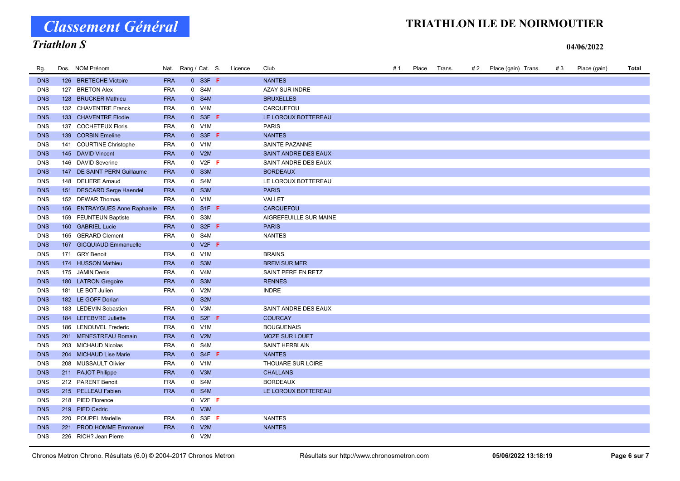# Classement Général

# TRIATHLON ILE DE NOIRMOUTIER

### Triathlon S

| Rg.        | Dos. NOM Prénom               |            | Nat. Rang / Cat. S. | Licence | Club                   | # 1 | Place | Trans. | # 2 | Place (gain) Trans. | #3 | Place (gain) | Total |
|------------|-------------------------------|------------|---------------------|---------|------------------------|-----|-------|--------|-----|---------------------|----|--------------|-------|
| <b>DNS</b> | 126 BRETECHE Victoire         | <b>FRA</b> | $0$ S3F F           |         | <b>NANTES</b>          |     |       |        |     |                     |    |              |       |
| <b>DNS</b> | 127 BRETON Alex               | <b>FRA</b> | 0 S4M               |         | <b>AZAY SUR INDRE</b>  |     |       |        |     |                     |    |              |       |
| <b>DNS</b> | 128 BRUCKER Mathieu           | <b>FRA</b> | 0 S4M               |         | <b>BRUXELLES</b>       |     |       |        |     |                     |    |              |       |
| <b>DNS</b> | 132 CHAVENTRE Franck          | <b>FRA</b> | 0 V4M               |         | CARQUEFOU              |     |       |        |     |                     |    |              |       |
| <b>DNS</b> | 133 CHAVENTRE Elodie          | <b>FRA</b> | $0$ S3F F           |         | LE LOROUX BOTTEREAU    |     |       |        |     |                     |    |              |       |
| <b>DNS</b> | 137 COCHETEUX Floris          | <b>FRA</b> | 0 V1M               |         | <b>PARIS</b>           |     |       |        |     |                     |    |              |       |
| <b>DNS</b> | 139 CORBIN Emeline            | <b>FRA</b> | $0$ S3F F           |         | <b>NANTES</b>          |     |       |        |     |                     |    |              |       |
| <b>DNS</b> | 141 COURTINE Christophe       | <b>FRA</b> | 0 V1M               |         | SAINTE PAZANNE         |     |       |        |     |                     |    |              |       |
| <b>DNS</b> | 145 DAVID Vincent             | <b>FRA</b> | 0 V2M               |         | SAINT ANDRE DES EAUX   |     |       |        |     |                     |    |              |       |
| <b>DNS</b> | 146 DAVID Severine            | <b>FRA</b> | $0$ V2F F           |         | SAINT ANDRE DES EAUX   |     |       |        |     |                     |    |              |       |
| <b>DNS</b> | 147 DE SAINT PERN Guillaume   | <b>FRA</b> | 0 S3M               |         | <b>BORDEAUX</b>        |     |       |        |     |                     |    |              |       |
| <b>DNS</b> | 148 DELIERE Arnaud            | <b>FRA</b> | 0 S4M               |         | LE LOROUX BOTTEREAU    |     |       |        |     |                     |    |              |       |
| <b>DNS</b> | 151 DESCARD Serge Haendel     | <b>FRA</b> | 0 S3M               |         | <b>PARIS</b>           |     |       |        |     |                     |    |              |       |
| <b>DNS</b> | 152 DEWAR Thomas              | <b>FRA</b> | 0 V1M               |         | VALLET                 |     |       |        |     |                     |    |              |       |
| <b>DNS</b> | 156 ENTRAYGUES Anne Raphaelle | <b>FRA</b> | $0$ S1F F           |         | <b>CARQUEFOU</b>       |     |       |        |     |                     |    |              |       |
| <b>DNS</b> | 159 FEUNTEUN Baptiste         | <b>FRA</b> | 0 S3M               |         | AIGREFEUILLE SUR MAINE |     |       |        |     |                     |    |              |       |
| <b>DNS</b> | 160 GABRIEL Lucie             | <b>FRA</b> | $0$ S2F F           |         | <b>PARIS</b>           |     |       |        |     |                     |    |              |       |
| <b>DNS</b> | 165 GERARD Clement            | <b>FRA</b> | 0 S4M               |         | <b>NANTES</b>          |     |       |        |     |                     |    |              |       |
| <b>DNS</b> | 167 GICQUIAUD Emmanuelle      |            | $0$ V2F F           |         |                        |     |       |        |     |                     |    |              |       |
| <b>DNS</b> | 171 GRY Benoit                | <b>FRA</b> | 0 V1M               |         | <b>BRAINS</b>          |     |       |        |     |                     |    |              |       |
| <b>DNS</b> | 174 HUSSON Mathieu            | <b>FRA</b> | 0 S3M               |         | <b>BREM SUR MER</b>    |     |       |        |     |                     |    |              |       |
| <b>DNS</b> | 175 JAMIN Denis               | <b>FRA</b> | 0 V4M               |         | SAINT PERE EN RETZ     |     |       |        |     |                     |    |              |       |
| <b>DNS</b> | 180 LATRON Gregoire           | <b>FRA</b> | 0 S3M               |         | <b>RENNES</b>          |     |       |        |     |                     |    |              |       |
| <b>DNS</b> | 181 LE BOT Julien             | <b>FRA</b> | 0 V2M               |         | <b>INDRE</b>           |     |       |        |     |                     |    |              |       |
| <b>DNS</b> | 182 LE GOFF Dorian            |            | 0 S2M               |         |                        |     |       |        |     |                     |    |              |       |
| <b>DNS</b> | 183 LEDEVIN Sebastien         | <b>FRA</b> | 0 V3M               |         | SAINT ANDRE DES EAUX   |     |       |        |     |                     |    |              |       |
| <b>DNS</b> | 184 LEFEBVRE Juliette         | <b>FRA</b> | $0$ S2F F           |         | <b>COURCAY</b>         |     |       |        |     |                     |    |              |       |
| <b>DNS</b> | 186 LENOUVEL Frederic         | <b>FRA</b> | 0 V1M               |         | <b>BOUGUENAIS</b>      |     |       |        |     |                     |    |              |       |
| <b>DNS</b> | 201 MENESTREAU Romain         | <b>FRA</b> | 0 V2M               |         | <b>MOZE SUR LOUET</b>  |     |       |        |     |                     |    |              |       |
| <b>DNS</b> | 203 MICHAUD Nicolas           | <b>FRA</b> | 0 S4M               |         | <b>SAINT HERBLAIN</b>  |     |       |        |     |                     |    |              |       |
| <b>DNS</b> | 204 MICHAUD Lise Marie        | <b>FRA</b> | $0$ S4F F           |         | <b>NANTES</b>          |     |       |        |     |                     |    |              |       |
| <b>DNS</b> | 208 MUSSAULT Olivier          | FRA        | 0 V1M               |         | THOUARE SUR LOIRE      |     |       |        |     |                     |    |              |       |
| <b>DNS</b> | 211 PAJOT Philippe            | <b>FRA</b> | 0 V3M               |         | <b>CHALLANS</b>        |     |       |        |     |                     |    |              |       |
| <b>DNS</b> | 212 PARENT Benoit             | <b>FRA</b> | 0 S4M               |         | <b>BORDEAUX</b>        |     |       |        |     |                     |    |              |       |
| <b>DNS</b> | 215 PELLEAU Fabien            | <b>FRA</b> | 0 S4M               |         | LE LOROUX BOTTEREAU    |     |       |        |     |                     |    |              |       |
| <b>DNS</b> | 218 PIED Florence             |            | $0$ V2F F           |         |                        |     |       |        |     |                     |    |              |       |
| <b>DNS</b> | 219 PIED Cedric               |            | 0 V3M               |         |                        |     |       |        |     |                     |    |              |       |
| <b>DNS</b> | 220 POUPEL Marielle           | FRA        | $0$ S3F F           |         | <b>NANTES</b>          |     |       |        |     |                     |    |              |       |
| <b>DNS</b> | 221 PROD HOMME Emmanuel       | <b>FRA</b> | 0 V2M               |         | <b>NANTES</b>          |     |       |        |     |                     |    |              |       |
| <b>DNS</b> | 226 RICH? Jean Pierre         |            | 0 V2M               |         |                        |     |       |        |     |                     |    |              |       |